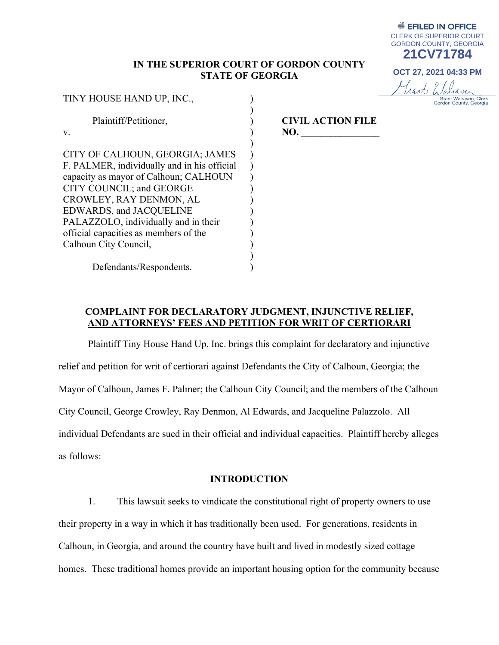## **IN THE SUPERIOR COURT OF GORDON COUNTY STATE OF GEORGIA**

) ) ) ) ) ) ) ) ) ) ) ) ) ) ) )

TINY HOUSE HAND UP, INC., Plaintiff/Petitioner, v. CITY OF CALHOUN, GEORGIA; JAMES F. PALMER, individually and in his official capacity as mayor of Calhoun; CALHOUN CITY COUNCIL; and GEORGE CROWLEY, RAY DENMON, AL EDWARDS, and JACQUELINE PALAZZOLO, individually and in their official capacities as members of the Calhoun City Council,

**CIVIL ACTION FILE NO.** 

Defendants/Respondents.

## **COMPLAINT FOR DECLARATORY JUDGMENT, INJUNCTIVE RELIEF, AND ATTORNEYS' FEES AND PETITION FOR WRIT OF CERTIORARI**

Plaintiff Tiny House Hand Up, Inc. brings this complaint for declaratory and injunctive relief and petition for writ of certiorari against Defendants the City of Calhoun, Georgia; the Mayor of Calhoun, James F. Palmer; the Calhoun City Council; and the members of the Calhoun City Council, George Crowley, Ray Denmon, Al Edwards, and Jacqueline Palazzolo. All individual Defendants are sued in their official and individual capacities. Plaintiff hereby alleges as follows:

### **INTRODUCTION**

1. This lawsuit seeks to vindicate the constitutional right of property owners to use their property in a way in which it has traditionally been used. For generations, residents in Calhoun, in Georgia, and around the country have built and lived in modestly sized cottage homes. These traditional homes provide an important housing option for the community because

**● EFILED IN OFFICE** CLERK OF SUPERIOR COURT GORDON COUNTY, GEORGIA **21CV71784**

**OCT 27, 2021 04:33 PM**

Grant Waliaven

Grant Walraven, Clerk<br>Gordon County, Georgia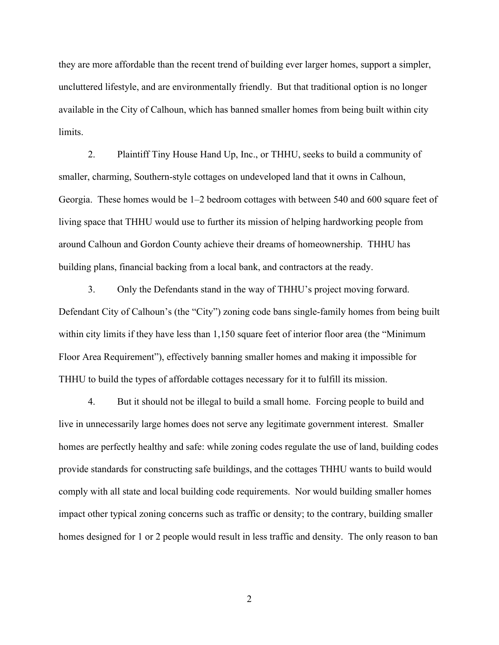they are more affordable than the recent trend of building ever larger homes, support a simpler, uncluttered lifestyle, and are environmentally friendly. But that traditional option is no longer available in the City of Calhoun, which has banned smaller homes from being built within city limits.

2. Plaintiff Tiny House Hand Up, Inc., or THHU, seeks to build a community of smaller, charming, Southern-style cottages on undeveloped land that it owns in Calhoun, Georgia. These homes would be 1–2 bedroom cottages with between 540 and 600 square feet of living space that THHU would use to further its mission of helping hardworking people from around Calhoun and Gordon County achieve their dreams of homeownership. THHU has building plans, financial backing from a local bank, and contractors at the ready.

3. Only the Defendants stand in the way of THHU's project moving forward. Defendant City of Calhoun's (the "City") zoning code bans single-family homes from being built within city limits if they have less than 1,150 square feet of interior floor area (the "Minimum" Floor Area Requirement"), effectively banning smaller homes and making it impossible for THHU to build the types of affordable cottages necessary for it to fulfill its mission.

4. But it should not be illegal to build a small home. Forcing people to build and live in unnecessarily large homes does not serve any legitimate government interest. Smaller homes are perfectly healthy and safe: while zoning codes regulate the use of land, building codes provide standards for constructing safe buildings, and the cottages THHU wants to build would comply with all state and local building code requirements. Nor would building smaller homes impact other typical zoning concerns such as traffic or density; to the contrary, building smaller homes designed for 1 or 2 people would result in less traffic and density. The only reason to ban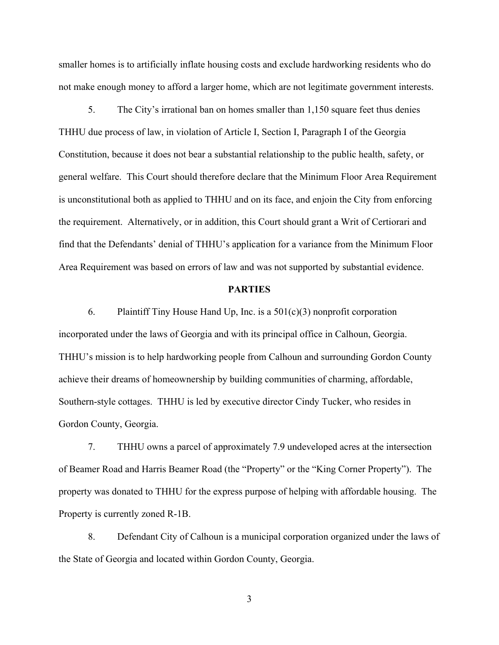smaller homes is to artificially inflate housing costs and exclude hardworking residents who do not make enough money to afford a larger home, which are not legitimate government interests.

5. The City's irrational ban on homes smaller than 1,150 square feet thus denies THHU due process of law, in violation of Article I, Section I, Paragraph I of the Georgia Constitution, because it does not bear a substantial relationship to the public health, safety, or general welfare. This Court should therefore declare that the Minimum Floor Area Requirement is unconstitutional both as applied to THHU and on its face, and enjoin the City from enforcing the requirement. Alternatively, or in addition, this Court should grant a Writ of Certiorari and find that the Defendants' denial of THHU's application for a variance from the Minimum Floor Area Requirement was based on errors of law and was not supported by substantial evidence.

### **PARTIES**

6. Plaintiff Tiny House Hand Up, Inc. is a  $501(c)(3)$  nonprofit corporation incorporated under the laws of Georgia and with its principal office in Calhoun, Georgia. THHU's mission is to help hardworking people from Calhoun and surrounding Gordon County achieve their dreams of homeownership by building communities of charming, affordable, Southern-style cottages. THHU is led by executive director Cindy Tucker, who resides in Gordon County, Georgia.

7. THHU owns a parcel of approximately 7.9 undeveloped acres at the intersection of Beamer Road and Harris Beamer Road (the "Property" or the "King Corner Property"). The property was donated to THHU for the express purpose of helping with affordable housing. The Property is currently zoned R-1B.

8. Defendant City of Calhoun is a municipal corporation organized under the laws of the State of Georgia and located within Gordon County, Georgia.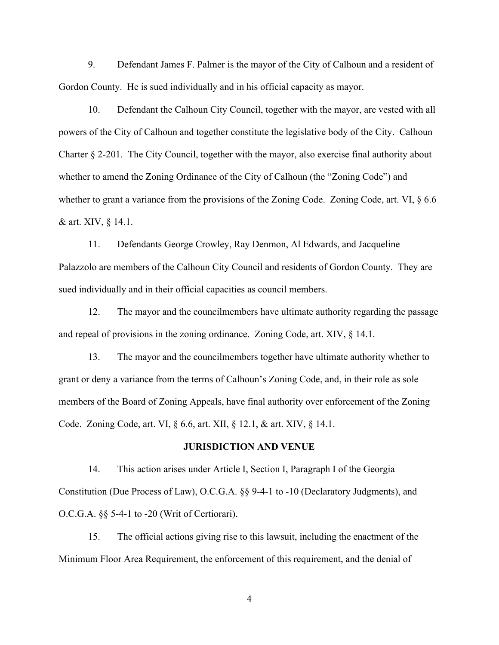9. Defendant James F. Palmer is the mayor of the City of Calhoun and a resident of Gordon County. He is sued individually and in his official capacity as mayor.

10. Defendant the Calhoun City Council, together with the mayor, are vested with all powers of the City of Calhoun and together constitute the legislative body of the City. Calhoun Charter § 2-201. The City Council, together with the mayor, also exercise final authority about whether to amend the Zoning Ordinance of the City of Calhoun (the "Zoning Code") and whether to grant a variance from the provisions of the Zoning Code. Zoning Code, art. VI,  $\S 6.6$ & art. XIV, § 14.1.

11. Defendants George Crowley, Ray Denmon, Al Edwards, and Jacqueline Palazzolo are members of the Calhoun City Council and residents of Gordon County. They are sued individually and in their official capacities as council members.

12. The mayor and the councilmembers have ultimate authority regarding the passage and repeal of provisions in the zoning ordinance. Zoning Code, art. XIV, § 14.1.

13. The mayor and the councilmembers together have ultimate authority whether to grant or deny a variance from the terms of Calhoun's Zoning Code, and, in their role as sole members of the Board of Zoning Appeals, have final authority over enforcement of the Zoning Code. Zoning Code, art. VI, § 6.6, art. XII, § 12.1, & art. XIV, § 14.1.

### **JURISDICTION AND VENUE**

14. This action arises under Article I, Section I, Paragraph I of the Georgia Constitution (Due Process of Law), O.C.G.A. §§ 9-4-1 to -10 (Declaratory Judgments), and O.C.G.A. §§ 5-4-1 to -20 (Writ of Certiorari).

15. The official actions giving rise to this lawsuit, including the enactment of the Minimum Floor Area Requirement, the enforcement of this requirement, and the denial of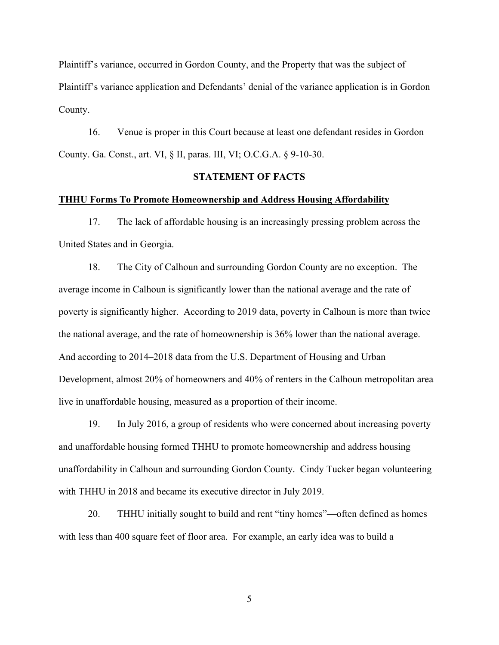Plaintiff's variance, occurred in Gordon County, and the Property that was the subject of Plaintiff's variance application and Defendants' denial of the variance application is in Gordon County.

16. Venue is proper in this Court because at least one defendant resides in Gordon County. Ga. Const., art. VI, § II, paras. III, VI; O.C.G.A. § 9-10-30.

## **STATEMENT OF FACTS**

### **THHU Forms To Promote Homeownership and Address Housing Affordability**

17. The lack of affordable housing is an increasingly pressing problem across the United States and in Georgia.

18. The City of Calhoun and surrounding Gordon County are no exception. The average income in Calhoun is significantly lower than the national average and the rate of poverty is significantly higher. According to 2019 data, poverty in Calhoun is more than twice the national average, and the rate of homeownership is 36% lower than the national average. And according to 2014–2018 data from the U.S. Department of Housing and Urban Development, almost 20% of homeowners and 40% of renters in the Calhoun metropolitan area live in unaffordable housing, measured as a proportion of their income.

19. In July 2016, a group of residents who were concerned about increasing poverty and unaffordable housing formed THHU to promote homeownership and address housing unaffordability in Calhoun and surrounding Gordon County. Cindy Tucker began volunteering with THHU in 2018 and became its executive director in July 2019.

20. THHU initially sought to build and rent "tiny homes"—often defined as homes with less than 400 square feet of floor area. For example, an early idea was to build a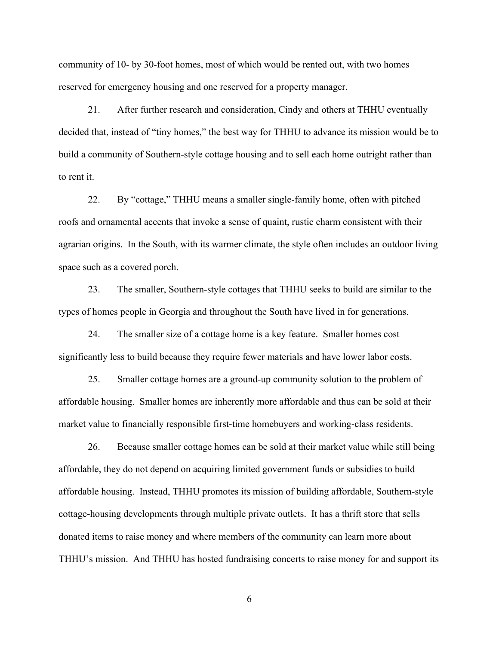community of 10- by 30-foot homes, most of which would be rented out, with two homes reserved for emergency housing and one reserved for a property manager.

21. After further research and consideration, Cindy and others at THHU eventually decided that, instead of "tiny homes," the best way for THHU to advance its mission would be to build a community of Southern-style cottage housing and to sell each home outright rather than to rent it.

22. By "cottage," THHU means a smaller single-family home, often with pitched roofs and ornamental accents that invoke a sense of quaint, rustic charm consistent with their agrarian origins. In the South, with its warmer climate, the style often includes an outdoor living space such as a covered porch.

23. The smaller, Southern-style cottages that THHU seeks to build are similar to the types of homes people in Georgia and throughout the South have lived in for generations.

24. The smaller size of a cottage home is a key feature. Smaller homes cost significantly less to build because they require fewer materials and have lower labor costs.

25. Smaller cottage homes are a ground-up community solution to the problem of affordable housing. Smaller homes are inherently more affordable and thus can be sold at their market value to financially responsible first-time homebuyers and working-class residents.

26. Because smaller cottage homes can be sold at their market value while still being affordable, they do not depend on acquiring limited government funds or subsidies to build affordable housing. Instead, THHU promotes its mission of building affordable, Southern-style cottage-housing developments through multiple private outlets. It has a thrift store that sells donated items to raise money and where members of the community can learn more about THHU's mission. And THHU has hosted fundraising concerts to raise money for and support its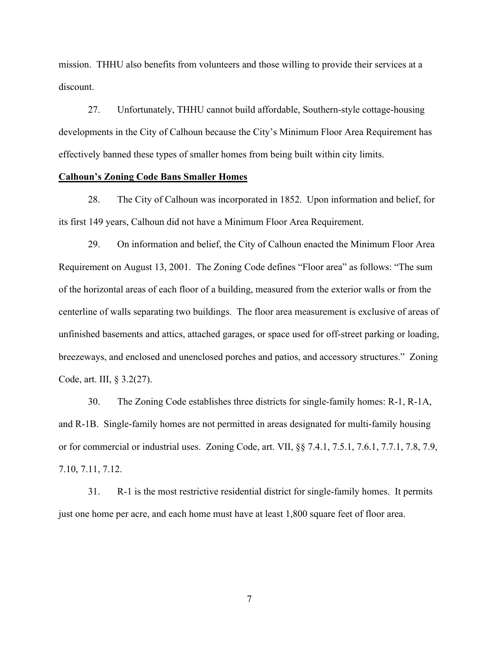mission. THHU also benefits from volunteers and those willing to provide their services at a discount.

27. Unfortunately, THHU cannot build affordable, Southern-style cottage-housing developments in the City of Calhoun because the City's Minimum Floor Area Requirement has effectively banned these types of smaller homes from being built within city limits.

### **Calhoun's Zoning Code Bans Smaller Homes**

28. The City of Calhoun was incorporated in 1852. Upon information and belief, for its first 149 years, Calhoun did not have a Minimum Floor Area Requirement.

29. On information and belief, the City of Calhoun enacted the Minimum Floor Area Requirement on August 13, 2001. The Zoning Code defines "Floor area" as follows: "The sum of the horizontal areas of each floor of a building, measured from the exterior walls or from the centerline of walls separating two buildings. The floor area measurement is exclusive of areas of unfinished basements and attics, attached garages, or space used for off-street parking or loading, breezeways, and enclosed and unenclosed porches and patios, and accessory structures." Zoning Code, art. III, § 3.2(27).

30. The Zoning Code establishes three districts for single-family homes: R-1, R-1A, and R-1B. Single-family homes are not permitted in areas designated for multi-family housing or for commercial or industrial uses. Zoning Code, art. VII, §§ 7.4.1, 7.5.1, 7.6.1, 7.7.1, 7.8, 7.9, 7.10, 7.11, 7.12.

31. R-1 is the most restrictive residential district for single-family homes. It permits just one home per acre, and each home must have at least 1,800 square feet of floor area.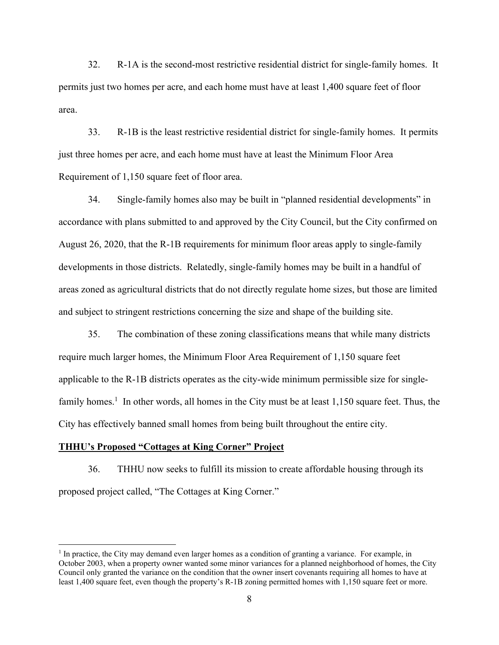32. R-1A is the second-most restrictive residential district for single-family homes. It permits just two homes per acre, and each home must have at least 1,400 square feet of floor area.

33. R-1B is the least restrictive residential district for single-family homes. It permits just three homes per acre, and each home must have at least the Minimum Floor Area Requirement of 1,150 square feet of floor area.

34. Single-family homes also may be built in "planned residential developments" in accordance with plans submitted to and approved by the City Council, but the City confirmed on August 26, 2020, that the R-1B requirements for minimum floor areas apply to single-family developments in those districts. Relatedly, single-family homes may be built in a handful of areas zoned as agricultural districts that do not directly regulate home sizes, but those are limited and subject to stringent restrictions concerning the size and shape of the building site.

35. The combination of these zoning classifications means that while many districts require much larger homes, the Minimum Floor Area Requirement of 1,150 square feet applicable to the R-1B districts operates as the city-wide minimum permissible size for singlefamily homes.<sup>1</sup> In other words, all homes in the City must be at least  $1,150$  square feet. Thus, the City has effectively banned small homes from being built throughout the entire city.

#### **THHU's Proposed "Cottages at King Corner" Project**

36. THHU now seeks to fulfill its mission to create affordable housing through its proposed project called, "The Cottages at King Corner."

<sup>&</sup>lt;sup>1</sup> In practice, the City may demand even larger homes as a condition of granting a variance. For example, in October 2003, when a property owner wanted some minor variances for a planned neighborhood of homes, the City Council only granted the variance on the condition that the owner insert covenants requiring all homes to have at least 1,400 square feet, even though the property's R-1B zoning permitted homes with 1,150 square feet or more.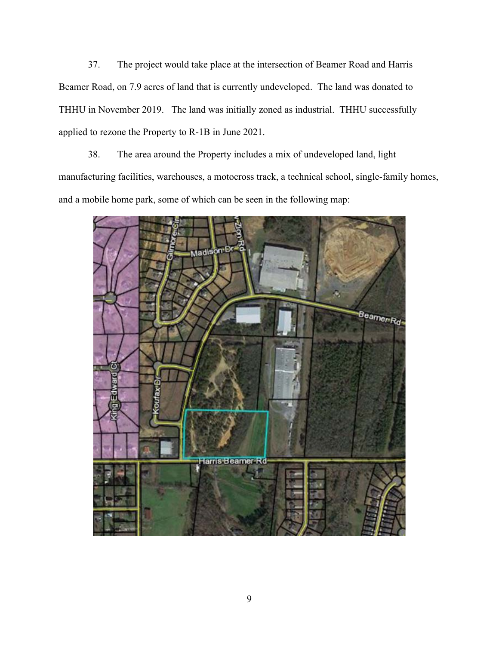37. The project would take place at the intersection of Beamer Road and Harris Beamer Road, on 7.9 acres of land that is currently undeveloped. The land was donated to THHU in November 2019. The land was initially zoned as industrial. THHU successfully applied to rezone the Property to R-1B in June 2021.

38. The area around the Property includes a mix of undeveloped land, light manufacturing facilities, warehouses, a motocross track, a technical school, single-family homes, and a mobile home park, some of which can be seen in the following map:

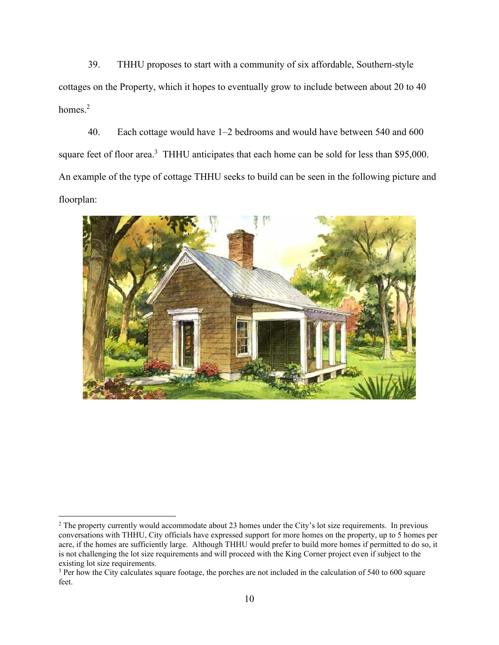39. THHU proposes to start with a community of six affordable, Southern-style cottages on the Property, which it hopes to eventually grow to include between about 20 to 40 homes.<sup>2</sup>

40. Each cottage would have 1–2 bedrooms and would have between 540 and 600 square feet of floor area.<sup>3</sup> THHU anticipates that each home can be sold for less than \$95,000. An example of the type of cottage THHU seeks to build can be seen in the following picture and floorplan:



<sup>&</sup>lt;sup>2</sup> The property currently would accommodate about 23 homes under the City's lot size requirements. In previous conversations with THHU, City officials have expressed support for more homes on the property, up to 5 homes per acre, if the homes are sufficiently large. Although THHU would prefer to build more homes if permitted to do so, it is not challenging the lot size requirements and will proceed with the King Corner project even if subject to the existing lot size requirements.

<sup>&</sup>lt;sup>3</sup> Per how the City calculates square footage, the porches are not included in the calculation of 540 to 600 square feet.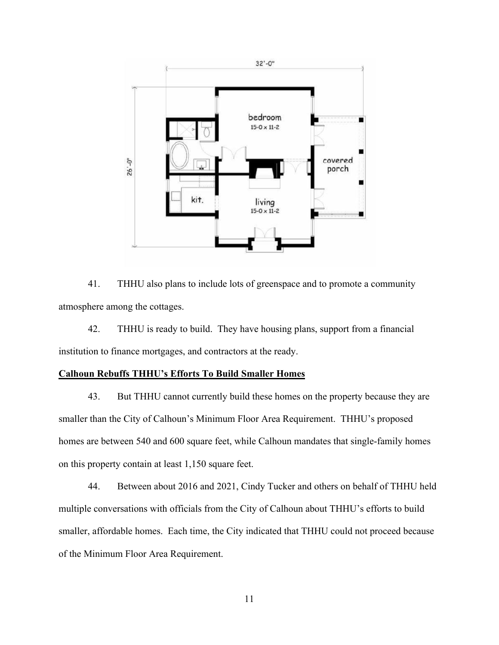

41. THHU also plans to include lots of greenspace and to promote a community atmosphere among the cottages.

42. THHU is ready to build. They have housing plans, support from a financial institution to finance mortgages, and contractors at the ready.

## **Calhoun Rebuffs THHU's Efforts To Build Smaller Homes**

43. But THHU cannot currently build these homes on the property because they are smaller than the City of Calhoun's Minimum Floor Area Requirement. THHU's proposed homes are between 540 and 600 square feet, while Calhoun mandates that single-family homes on this property contain at least 1,150 square feet.

44. Between about 2016 and 2021, Cindy Tucker and others on behalf of THHU held multiple conversations with officials from the City of Calhoun about THHU's efforts to build smaller, affordable homes. Each time, the City indicated that THHU could not proceed because of the Minimum Floor Area Requirement.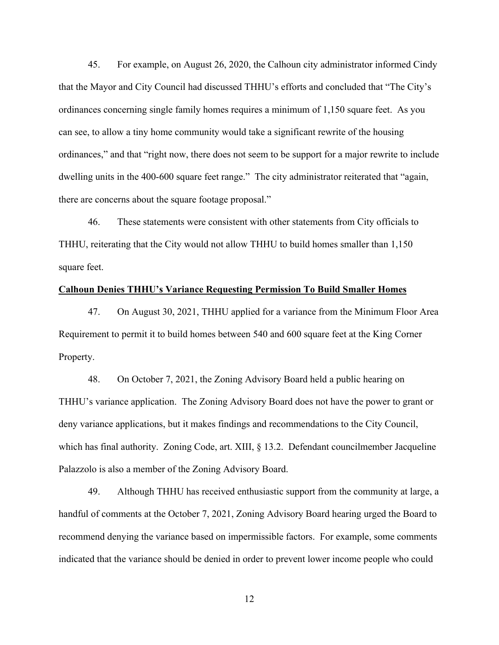45. For example, on August 26, 2020, the Calhoun city administrator informed Cindy that the Mayor and City Council had discussed THHU's efforts and concluded that "The City's ordinances concerning single family homes requires a minimum of 1,150 square feet. As you can see, to allow a tiny home community would take a significant rewrite of the housing ordinances," and that "right now, there does not seem to be support for a major rewrite to include dwelling units in the 400-600 square feet range." The city administrator reiterated that "again, there are concerns about the square footage proposal."

46. These statements were consistent with other statements from City officials to THHU, reiterating that the City would not allow THHU to build homes smaller than 1,150 square feet.

### **Calhoun Denies THHU's Variance Requesting Permission To Build Smaller Homes**

47. On August 30, 2021, THHU applied for a variance from the Minimum Floor Area Requirement to permit it to build homes between 540 and 600 square feet at the King Corner Property.

48. On October 7, 2021, the Zoning Advisory Board held a public hearing on THHU's variance application. The Zoning Advisory Board does not have the power to grant or deny variance applications, but it makes findings and recommendations to the City Council, which has final authority. Zoning Code, art. XIII, § 13.2. Defendant councilmember Jacqueline Palazzolo is also a member of the Zoning Advisory Board.

49. Although THHU has received enthusiastic support from the community at large, a handful of comments at the October 7, 2021, Zoning Advisory Board hearing urged the Board to recommend denying the variance based on impermissible factors. For example, some comments indicated that the variance should be denied in order to prevent lower income people who could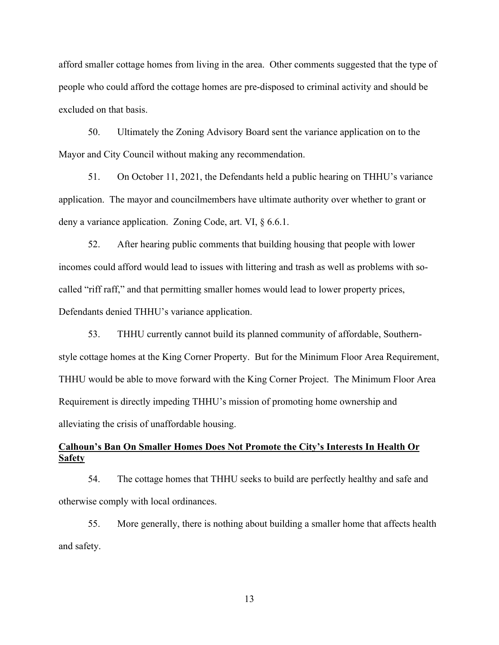afford smaller cottage homes from living in the area. Other comments suggested that the type of people who could afford the cottage homes are pre-disposed to criminal activity and should be excluded on that basis.

50. Ultimately the Zoning Advisory Board sent the variance application on to the Mayor and City Council without making any recommendation.

51. On October 11, 2021, the Defendants held a public hearing on THHU's variance application. The mayor and councilmembers have ultimate authority over whether to grant or deny a variance application. Zoning Code, art. VI, § 6.6.1.

52. After hearing public comments that building housing that people with lower incomes could afford would lead to issues with littering and trash as well as problems with socalled "riff raff," and that permitting smaller homes would lead to lower property prices, Defendants denied THHU's variance application.

53. THHU currently cannot build its planned community of affordable, Southernstyle cottage homes at the King Corner Property. But for the Minimum Floor Area Requirement, THHU would be able to move forward with the King Corner Project. The Minimum Floor Area Requirement is directly impeding THHU's mission of promoting home ownership and alleviating the crisis of unaffordable housing.

## **Calhoun's Ban On Smaller Homes Does Not Promote the City's Interests In Health Or Safety**

54. The cottage homes that THHU seeks to build are perfectly healthy and safe and otherwise comply with local ordinances.

55. More generally, there is nothing about building a smaller home that affects health and safety.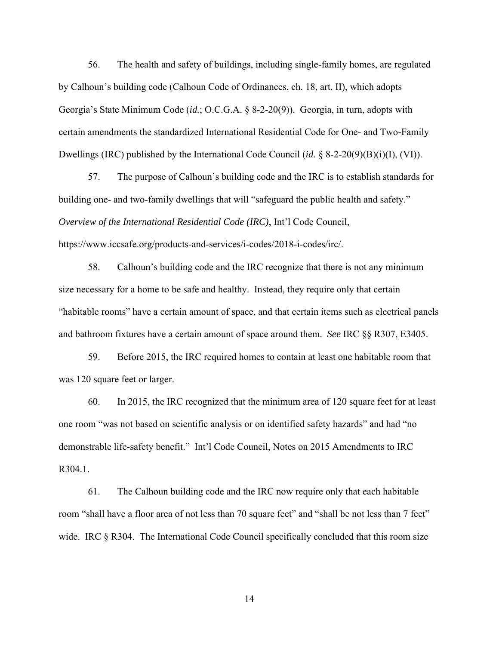56. The health and safety of buildings, including single-family homes, are regulated by Calhoun's building code (Calhoun Code of Ordinances, ch. 18, art. II), which adopts Georgia's State Minimum Code (*id.*; O.C.G.A. § 8-2-20(9)). Georgia, in turn, adopts with certain amendments the standardized International Residential Code for One- and Two-Family Dwellings (IRC) published by the International Code Council (*id.* § 8-2-20(9)(B)(i)(I), (VI)).

57. The purpose of Calhoun's building code and the IRC is to establish standards for building one- and two-family dwellings that will "safeguard the public health and safety." *Overview of the International Residential Code (IRC)*, Int'l Code Council, https://www.iccsafe.org/products-and-services/i-codes/2018-i-codes/irc/.

58. Calhoun's building code and the IRC recognize that there is not any minimum size necessary for a home to be safe and healthy. Instead, they require only that certain "habitable rooms" have a certain amount of space, and that certain items such as electrical panels and bathroom fixtures have a certain amount of space around them. *See* IRC §§ R307, E3405.

59. Before 2015, the IRC required homes to contain at least one habitable room that was 120 square feet or larger.

60. In 2015, the IRC recognized that the minimum area of 120 square feet for at least one room "was not based on scientific analysis or on identified safety hazards" and had "no demonstrable life-safety benefit." Int'l Code Council, Notes on 2015 Amendments to IRC R304.1.

61. The Calhoun building code and the IRC now require only that each habitable room "shall have a floor area of not less than 70 square feet" and "shall be not less than 7 feet" wide. IRC § R304. The International Code Council specifically concluded that this room size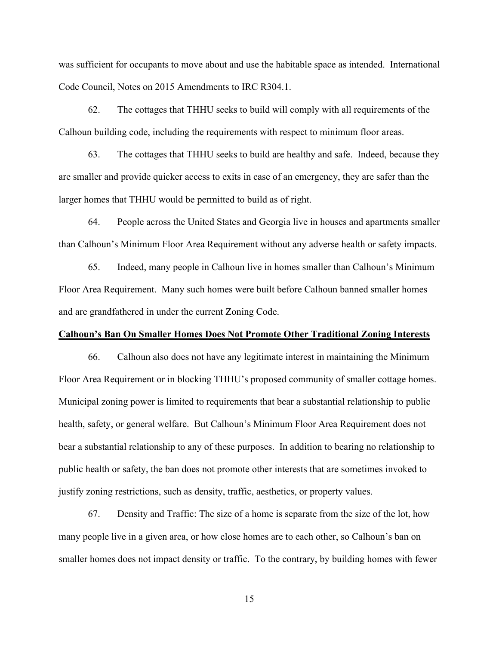was sufficient for occupants to move about and use the habitable space as intended. International Code Council, Notes on 2015 Amendments to IRC R304.1.

62. The cottages that THHU seeks to build will comply with all requirements of the Calhoun building code, including the requirements with respect to minimum floor areas.

63. The cottages that THHU seeks to build are healthy and safe. Indeed, because they are smaller and provide quicker access to exits in case of an emergency, they are safer than the larger homes that THHU would be permitted to build as of right.

64. People across the United States and Georgia live in houses and apartments smaller than Calhoun's Minimum Floor Area Requirement without any adverse health or safety impacts.

65. Indeed, many people in Calhoun live in homes smaller than Calhoun's Minimum Floor Area Requirement. Many such homes were built before Calhoun banned smaller homes and are grandfathered in under the current Zoning Code.

### **Calhoun's Ban On Smaller Homes Does Not Promote Other Traditional Zoning Interests**

66. Calhoun also does not have any legitimate interest in maintaining the Minimum Floor Area Requirement or in blocking THHU's proposed community of smaller cottage homes. Municipal zoning power is limited to requirements that bear a substantial relationship to public health, safety, or general welfare. But Calhoun's Minimum Floor Area Requirement does not bear a substantial relationship to any of these purposes. In addition to bearing no relationship to public health or safety, the ban does not promote other interests that are sometimes invoked to justify zoning restrictions, such as density, traffic, aesthetics, or property values.

67. Density and Traffic: The size of a home is separate from the size of the lot, how many people live in a given area, or how close homes are to each other, so Calhoun's ban on smaller homes does not impact density or traffic. To the contrary, by building homes with fewer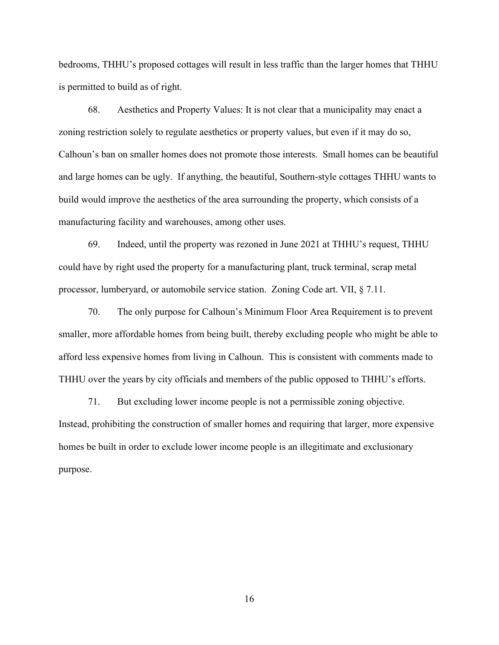bedrooms, THHU's proposed cottages will result in less traffic than the larger homes that THHU is permitted to build as of right.

68. Aesthetics and Property Values: It is not clear that a municipality may enact a zoning restriction solely to regulate aesthetics or property values, but even if it may do so, Calhoun's ban on smaller homes does not promote those interests. Small homes can be beautiful and large homes can be ugly. If anything, the beautiful, Southern-style cottages THHU wants to build would improve the aesthetics of the area surrounding the property, which consists of a manufacturing facility and warehouses, among other uses.

69. Indeed, until the property was rezoned in June 2021 at THHU's request, THHU could have by right used the property for a manufacturing plant, truck terminal, scrap metal processor, lumberyard, or automobile service station. Zoning Code art. VII, § 7.11.

70. The only purpose for Calhoun's Minimum Floor Area Requirement is to prevent smaller, more affordable homes from being built, thereby excluding people who might be able to afford less expensive homes from living in Calhoun. This is consistent with comments made to THHU over the years by city officials and members of the public opposed to THHU's efforts.

71. But excluding lower income people is not a permissible zoning objective. Instead, prohibiting the construction of smaller homes and requiring that larger, more expensive homes be built in order to exclude lower income people is an illegitimate and exclusionary purpose.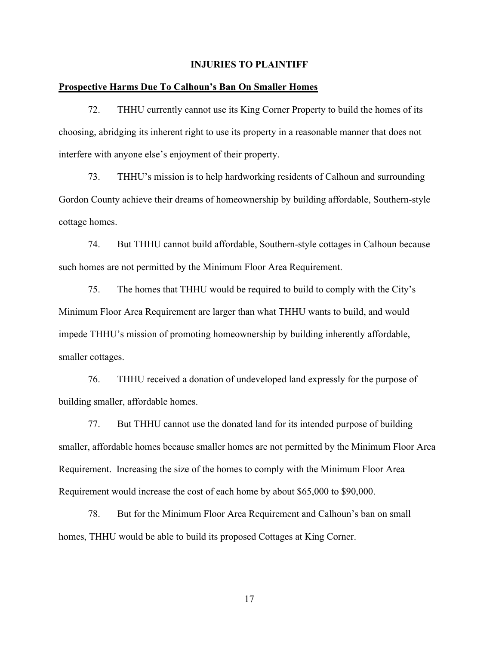### **INJURIES TO PLAINTIFF**

### **Prospective Harms Due To Calhoun's Ban On Smaller Homes**

72. THHU currently cannot use its King Corner Property to build the homes of its choosing, abridging its inherent right to use its property in a reasonable manner that does not interfere with anyone else's enjoyment of their property.

73. THHU's mission is to help hardworking residents of Calhoun and surrounding Gordon County achieve their dreams of homeownership by building affordable, Southern-style cottage homes.

74. But THHU cannot build affordable, Southern-style cottages in Calhoun because such homes are not permitted by the Minimum Floor Area Requirement.

75. The homes that THHU would be required to build to comply with the City's Minimum Floor Area Requirement are larger than what THHU wants to build, and would impede THHU's mission of promoting homeownership by building inherently affordable, smaller cottages.

76. THHU received a donation of undeveloped land expressly for the purpose of building smaller, affordable homes.

77. But THHU cannot use the donated land for its intended purpose of building smaller, affordable homes because smaller homes are not permitted by the Minimum Floor Area Requirement. Increasing the size of the homes to comply with the Minimum Floor Area Requirement would increase the cost of each home by about \$65,000 to \$90,000.

78. But for the Minimum Floor Area Requirement and Calhoun's ban on small homes, THHU would be able to build its proposed Cottages at King Corner.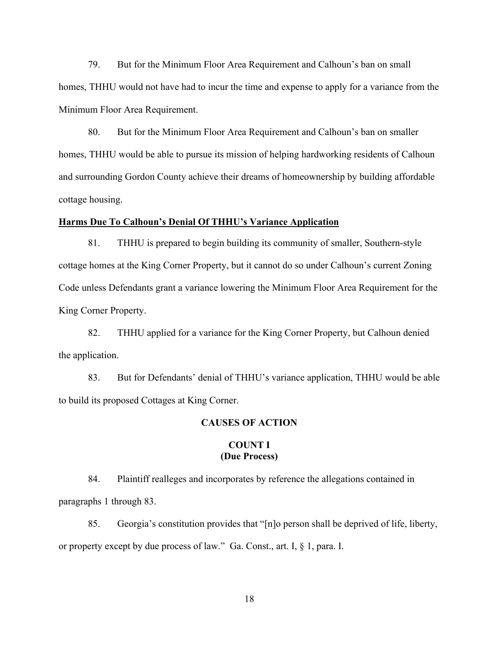79. But for the Minimum Floor Area Requirement and Calhoun's ban on small homes, THHU would not have had to incur the time and expense to apply for a variance from the Minimum Floor Area Requirement.

80. But for the Minimum Floor Area Requirement and Calhoun's ban on smaller homes, THHU would be able to pursue its mission of helping hardworking residents of Calhoun and surrounding Gordon County achieve their dreams of homeownership by building affordable cottage housing.

### **Harms Due To Calhoun's Denial Of THHU's Variance Application**

81. THHU is prepared to begin building its community of smaller, Southern-style cottage homes at the King Corner Property, but it cannot do so under Calhoun's current Zoning Code unless Defendants grant a variance lowering the Minimum Floor Area Requirement for the King Corner Property.

82. THHU applied for a variance for the King Corner Property, but Calhoun denied the application.

83. But for Defendants' denial of THHU's variance application, THHU would be able to build its proposed Cottages at King Corner.

## **CAUSES OF ACTION**

## **COUNT I (Due Process)**

84. Plaintiff realleges and incorporates by reference the allegations contained in paragraphs 1 through 83.

85. Georgia's constitution provides that "[n]o person shall be deprived of life, liberty, or property except by due process of law." Ga. Const., art. I, § 1, para. I.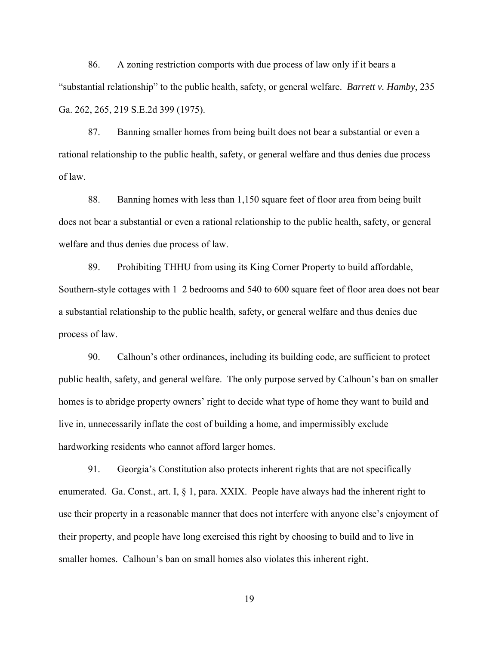86. A zoning restriction comports with due process of law only if it bears a "substantial relationship" to the public health, safety, or general welfare. *Barrett v. Hamby*, 235 Ga. 262, 265, 219 S.E.2d 399 (1975).

87. Banning smaller homes from being built does not bear a substantial or even a rational relationship to the public health, safety, or general welfare and thus denies due process of law.

88. Banning homes with less than 1,150 square feet of floor area from being built does not bear a substantial or even a rational relationship to the public health, safety, or general welfare and thus denies due process of law.

89. Prohibiting THHU from using its King Corner Property to build affordable, Southern-style cottages with 1–2 bedrooms and 540 to 600 square feet of floor area does not bear a substantial relationship to the public health, safety, or general welfare and thus denies due process of law.

90. Calhoun's other ordinances, including its building code, are sufficient to protect public health, safety, and general welfare. The only purpose served by Calhoun's ban on smaller homes is to abridge property owners' right to decide what type of home they want to build and live in, unnecessarily inflate the cost of building a home, and impermissibly exclude hardworking residents who cannot afford larger homes.

91. Georgia's Constitution also protects inherent rights that are not specifically enumerated. Ga. Const., art. I, § 1, para. XXIX. People have always had the inherent right to use their property in a reasonable manner that does not interfere with anyone else's enjoyment of their property, and people have long exercised this right by choosing to build and to live in smaller homes. Calhoun's ban on small homes also violates this inherent right.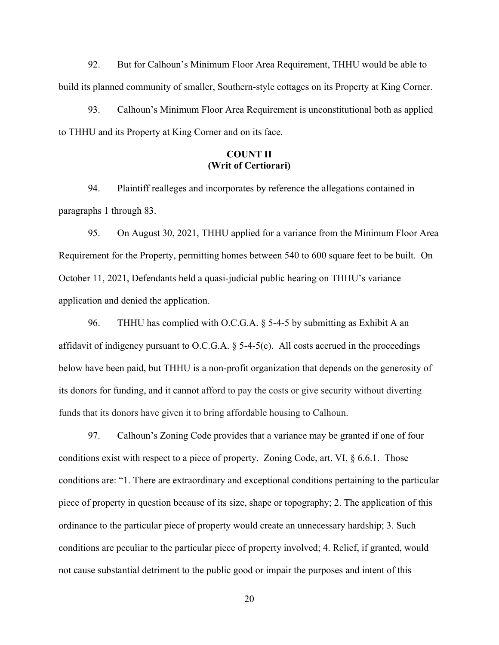92. But for Calhoun's Minimum Floor Area Requirement, THHU would be able to build its planned community of smaller, Southern-style cottages on its Property at King Corner.

93. Calhoun's Minimum Floor Area Requirement is unconstitutional both as applied to THHU and its Property at King Corner and on its face.

# **COUNT II (Writ of Certiorari)**

94. Plaintiff realleges and incorporates by reference the allegations contained in paragraphs 1 through 83.

95. On August 30, 2021, THHU applied for a variance from the Minimum Floor Area Requirement for the Property, permitting homes between 540 to 600 square feet to be built. On October 11, 2021, Defendants held a quasi-judicial public hearing on THHU's variance application and denied the application.

96. THHU has complied with O.C.G.A. § 5-4-5 by submitting as Exhibit A an affidavit of indigency pursuant to O.C.G.A.  $\S$  5-4-5(c). All costs accrued in the proceedings below have been paid, but THHU is a non-profit organization that depends on the generosity of its donors for funding, and it cannot afford to pay the costs or give security without diverting funds that its donors have given it to bring affordable housing to Calhoun.

97. Calhoun's Zoning Code provides that a variance may be granted if one of four conditions exist with respect to a piece of property. Zoning Code, art. VI,  $\S$  6.6.1. Those conditions are: "1. There are extraordinary and exceptional conditions pertaining to the particular piece of property in question because of its size, shape or topography; 2. The application of this ordinance to the particular piece of property would create an unnecessary hardship; 3. Such conditions are peculiar to the particular piece of property involved; 4. Relief, if granted, would not cause substantial detriment to the public good or impair the purposes and intent of this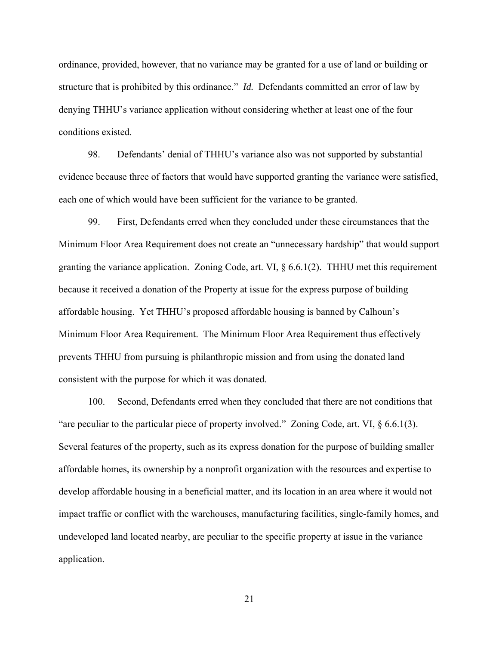ordinance, provided, however, that no variance may be granted for a use of land or building or structure that is prohibited by this ordinance." *Id.* Defendants committed an error of law by denying THHU's variance application without considering whether at least one of the four conditions existed.

98. Defendants' denial of THHU's variance also was not supported by substantial evidence because three of factors that would have supported granting the variance were satisfied, each one of which would have been sufficient for the variance to be granted.

99. First, Defendants erred when they concluded under these circumstances that the Minimum Floor Area Requirement does not create an "unnecessary hardship" that would support granting the variance application. Zoning Code, art. VI, § 6.6.1(2). THHU met this requirement because it received a donation of the Property at issue for the express purpose of building affordable housing. Yet THHU's proposed affordable housing is banned by Calhoun's Minimum Floor Area Requirement. The Minimum Floor Area Requirement thus effectively prevents THHU from pursuing is philanthropic mission and from using the donated land consistent with the purpose for which it was donated.

100. Second, Defendants erred when they concluded that there are not conditions that "are peculiar to the particular piece of property involved." Zoning Code, art. VI, § 6.6.1(3). Several features of the property, such as its express donation for the purpose of building smaller affordable homes, its ownership by a nonprofit organization with the resources and expertise to develop affordable housing in a beneficial matter, and its location in an area where it would not impact traffic or conflict with the warehouses, manufacturing facilities, single-family homes, and undeveloped land located nearby, are peculiar to the specific property at issue in the variance application.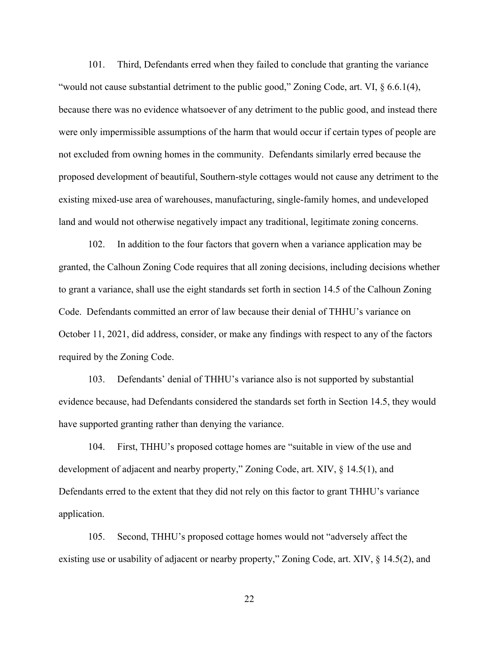101. Third, Defendants erred when they failed to conclude that granting the variance "would not cause substantial detriment to the public good," Zoning Code, art. VI,  $\S$  6.6.1(4), because there was no evidence whatsoever of any detriment to the public good, and instead there were only impermissible assumptions of the harm that would occur if certain types of people are not excluded from owning homes in the community. Defendants similarly erred because the proposed development of beautiful, Southern-style cottages would not cause any detriment to the existing mixed-use area of warehouses, manufacturing, single-family homes, and undeveloped land and would not otherwise negatively impact any traditional, legitimate zoning concerns.

102. In addition to the four factors that govern when a variance application may be granted, the Calhoun Zoning Code requires that all zoning decisions, including decisions whether to grant a variance, shall use the eight standards set forth in section 14.5 of the Calhoun Zoning Code. Defendants committed an error of law because their denial of THHU's variance on October 11, 2021, did address, consider, or make any findings with respect to any of the factors required by the Zoning Code.

103. Defendants' denial of THHU's variance also is not supported by substantial evidence because, had Defendants considered the standards set forth in Section 14.5, they would have supported granting rather than denying the variance.

104. First, THHU's proposed cottage homes are "suitable in view of the use and development of adjacent and nearby property," Zoning Code, art. XIV, § 14.5(1), and Defendants erred to the extent that they did not rely on this factor to grant THHU's variance application.

105. Second, THHU's proposed cottage homes would not "adversely affect the existing use or usability of adjacent or nearby property," Zoning Code, art. XIV, § 14.5(2), and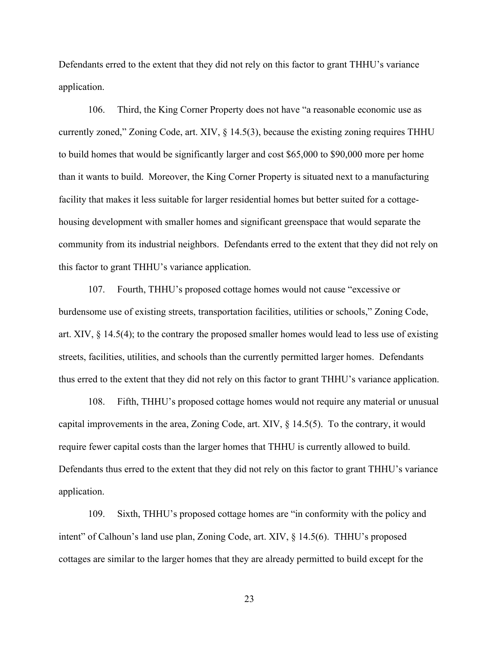Defendants erred to the extent that they did not rely on this factor to grant THHU's variance application.

106. Third, the King Corner Property does not have "a reasonable economic use as currently zoned," Zoning Code, art. XIV, § 14.5(3), because the existing zoning requires THHU to build homes that would be significantly larger and cost \$65,000 to \$90,000 more per home than it wants to build. Moreover, the King Corner Property is situated next to a manufacturing facility that makes it less suitable for larger residential homes but better suited for a cottagehousing development with smaller homes and significant greenspace that would separate the community from its industrial neighbors. Defendants erred to the extent that they did not rely on this factor to grant THHU's variance application.

107. Fourth, THHU's proposed cottage homes would not cause "excessive or burdensome use of existing streets, transportation facilities, utilities or schools," Zoning Code, art. XIV, § 14.5(4); to the contrary the proposed smaller homes would lead to less use of existing streets, facilities, utilities, and schools than the currently permitted larger homes. Defendants thus erred to the extent that they did not rely on this factor to grant THHU's variance application.

108. Fifth, THHU's proposed cottage homes would not require any material or unusual capital improvements in the area, Zoning Code, art. XIV, § 14.5(5). To the contrary, it would require fewer capital costs than the larger homes that THHU is currently allowed to build. Defendants thus erred to the extent that they did not rely on this factor to grant THHU's variance application.

109. Sixth, THHU's proposed cottage homes are "in conformity with the policy and intent" of Calhoun's land use plan, Zoning Code, art. XIV, § 14.5(6). THHU's proposed cottages are similar to the larger homes that they are already permitted to build except for the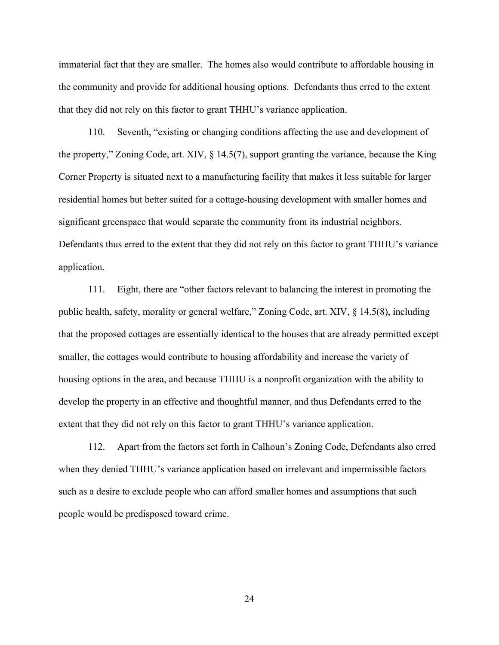immaterial fact that they are smaller. The homes also would contribute to affordable housing in the community and provide for additional housing options. Defendants thus erred to the extent that they did not rely on this factor to grant THHU's variance application.

110. Seventh, "existing or changing conditions affecting the use and development of the property," Zoning Code, art. XIV, § 14.5(7), support granting the variance, because the King Corner Property is situated next to a manufacturing facility that makes it less suitable for larger residential homes but better suited for a cottage-housing development with smaller homes and significant greenspace that would separate the community from its industrial neighbors. Defendants thus erred to the extent that they did not rely on this factor to grant THHU's variance application.

111. Eight, there are "other factors relevant to balancing the interest in promoting the public health, safety, morality or general welfare," Zoning Code, art. XIV, § 14.5(8), including that the proposed cottages are essentially identical to the houses that are already permitted except smaller, the cottages would contribute to housing affordability and increase the variety of housing options in the area, and because THHU is a nonprofit organization with the ability to develop the property in an effective and thoughtful manner, and thus Defendants erred to the extent that they did not rely on this factor to grant THHU's variance application.

112. Apart from the factors set forth in Calhoun's Zoning Code, Defendants also erred when they denied THHU's variance application based on irrelevant and impermissible factors such as a desire to exclude people who can afford smaller homes and assumptions that such people would be predisposed toward crime.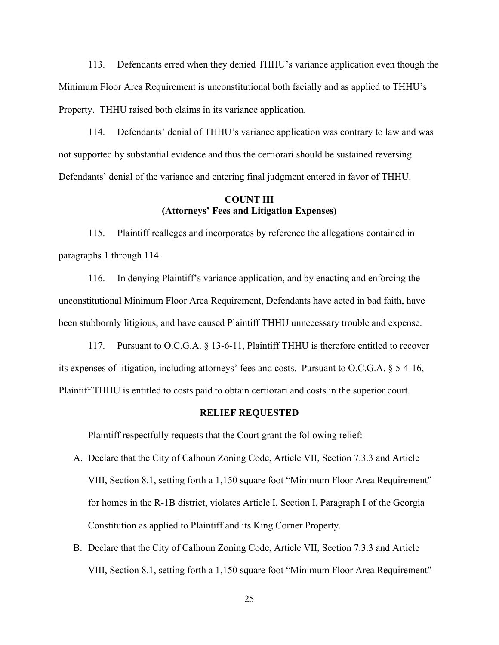113. Defendants erred when they denied THHU's variance application even though the Minimum Floor Area Requirement is unconstitutional both facially and as applied to THHU's Property. THHU raised both claims in its variance application.

114. Defendants' denial of THHU's variance application was contrary to law and was not supported by substantial evidence and thus the certiorari should be sustained reversing Defendants' denial of the variance and entering final judgment entered in favor of THHU.

## **COUNT III (Attorneys' Fees and Litigation Expenses)**

115. Plaintiff realleges and incorporates by reference the allegations contained in paragraphs 1 through 114.

116. In denying Plaintiff's variance application, and by enacting and enforcing the unconstitutional Minimum Floor Area Requirement, Defendants have acted in bad faith, have been stubbornly litigious, and have caused Plaintiff THHU unnecessary trouble and expense.

117. Pursuant to O.C.G.A. § 13-6-11, Plaintiff THHU is therefore entitled to recover its expenses of litigation, including attorneys' fees and costs. Pursuant to O.C.G.A. § 5-4-16, Plaintiff THHU is entitled to costs paid to obtain certiorari and costs in the superior court.

### **RELIEF REQUESTED**

Plaintiff respectfully requests that the Court grant the following relief:

- A. Declare that the City of Calhoun Zoning Code, Article VII, Section 7.3.3 and Article VIII, Section 8.1, setting forth a 1,150 square foot "Minimum Floor Area Requirement" for homes in the R-1B district, violates Article I, Section I, Paragraph I of the Georgia Constitution as applied to Plaintiff and its King Corner Property.
- B. Declare that the City of Calhoun Zoning Code, Article VII, Section 7.3.3 and Article VIII, Section 8.1, setting forth a 1,150 square foot "Minimum Floor Area Requirement"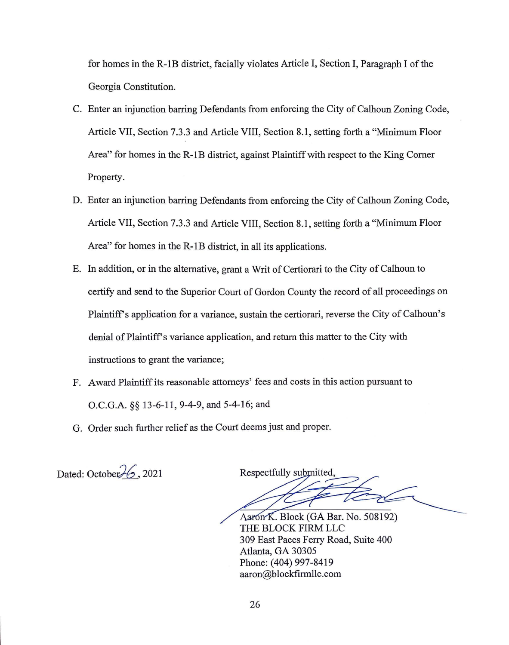for homes in the R-lB district, facially violates Article I, Section I, Paragraph I of the Georgia Constitution.

- C. Enter an injunction barring Defendants from enforcing the City of Calhoun Zoning Code, Article VII, Section 7.3.3 and Article VIII, Section 8.1, setting forth a "Minimum Floor Area" for homes in the R-lB district, against Plaintiff with respect to the King Comer Property.
- D. Enter an injunction barring Defendants from enforcing the City of Calhoun Zoning Code, Article VII, Section 7.3.3 and Article VIII, Section 8.1, setting forth a "Minimum Floor Area" for homes in the R-lB district, in all its applications.
- E. In addition, or in the alternative, grant a Writ of Certiorari to the City of Calhoun to certify and send to the Superior Court of Gordon County the record of all proceedings on Plaintiffs application for a variance, sustain the certiorari, reverse the City of Calhoun's denial of Plaintiff's variance application, and return this matter to the City with instructions to grant the variance;
- F. Award Plaintiff its reasonable attorneys' fees and costs in this action pursuant to O.C.G.A. *§§* 13-6-11, 9-4-9, and 5-4-16; and
- G. Order such further relief as the Court deems just and proper.

Dated: October $\frac{1}{6}$ , 2021

Respectfully submitted.

Aaron K. Block (GA Bar. No. 508192) THE BLOCK FIRM LLC 309 East Paces Ferry Road, Suite 400 Atlanta, GA 30305 Phone: (404) 997-8419 aaron@blockfirrnllc.com